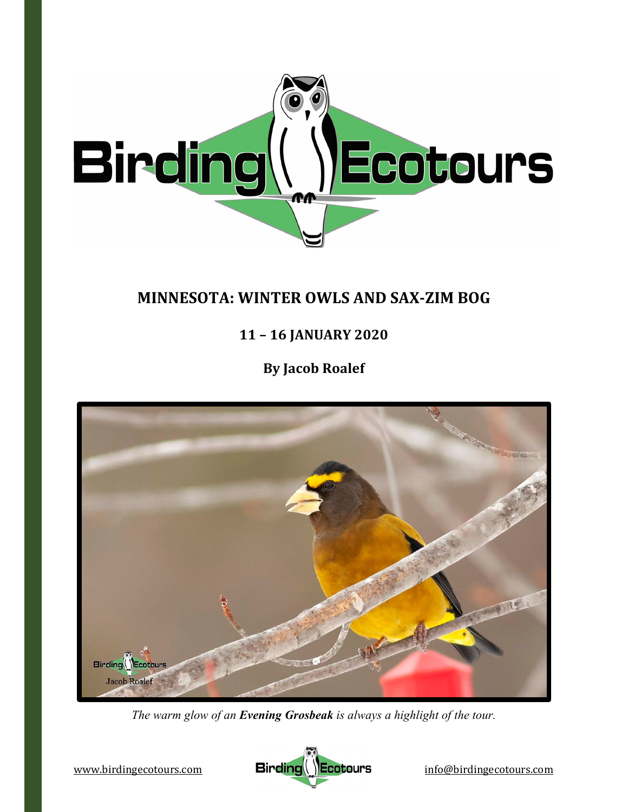

# **MINNESOTA: WINTER OWLS AND SAX‐ZIM BOG**

**11 – 16 JANUARY 2020**

**By Jacob Roalef**



*The warm glow of an Evening Grosbeak is always a highlight of the tour.* 

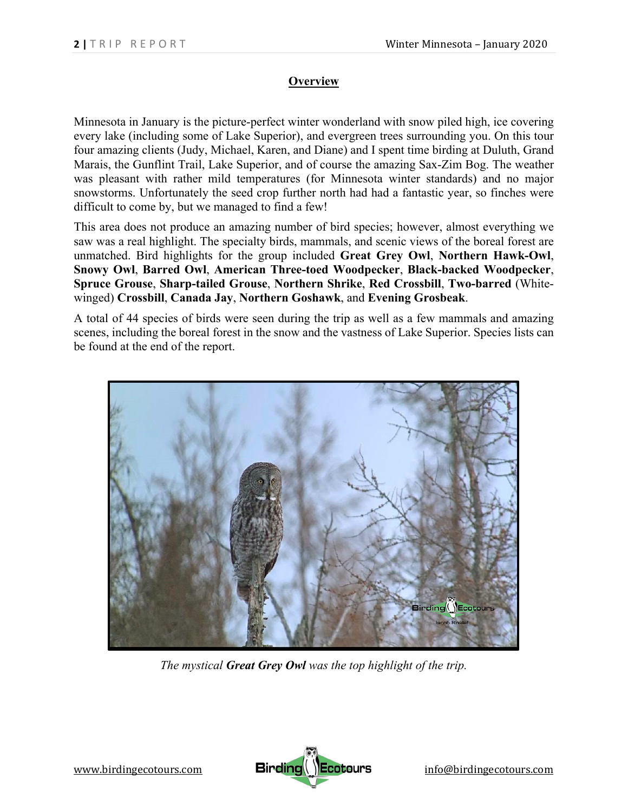# **Overview**

Minnesota in January is the picture-perfect winter wonderland with snow piled high, ice covering every lake (including some of Lake Superior), and evergreen trees surrounding you. On this tour four amazing clients (Judy, Michael, Karen, and Diane) and I spent time birding at Duluth, Grand Marais, the Gunflint Trail, Lake Superior, and of course the amazing Sax-Zim Bog. The weather was pleasant with rather mild temperatures (for Minnesota winter standards) and no major snowstorms. Unfortunately the seed crop further north had had a fantastic year, so finches were difficult to come by, but we managed to find a few!

This area does not produce an amazing number of bird species; however, almost everything we saw was a real highlight. The specialty birds, mammals, and scenic views of the boreal forest are unmatched. Bird highlights for the group included **Great Grey Owl**, **Northern Hawk-Owl**, **Snowy Owl**, **Barred Owl**, **American Three-toed Woodpecker**, **Black-backed Woodpecker**, **Spruce Grouse**, **Sharp-tailed Grouse**, **Northern Shrike**, **Red Crossbill**, **Two-barred** (Whitewinged) **Crossbill**, **Canada Jay**, **Northern Goshawk**, and **Evening Grosbeak**.

A total of 44 species of birds were seen during the trip as well as a few mammals and amazing scenes, including the boreal forest in the snow and the vastness of Lake Superior. Species lists can be found at the end of the report.



*The mystical Great Grey Owl was the top highlight of the trip.* 

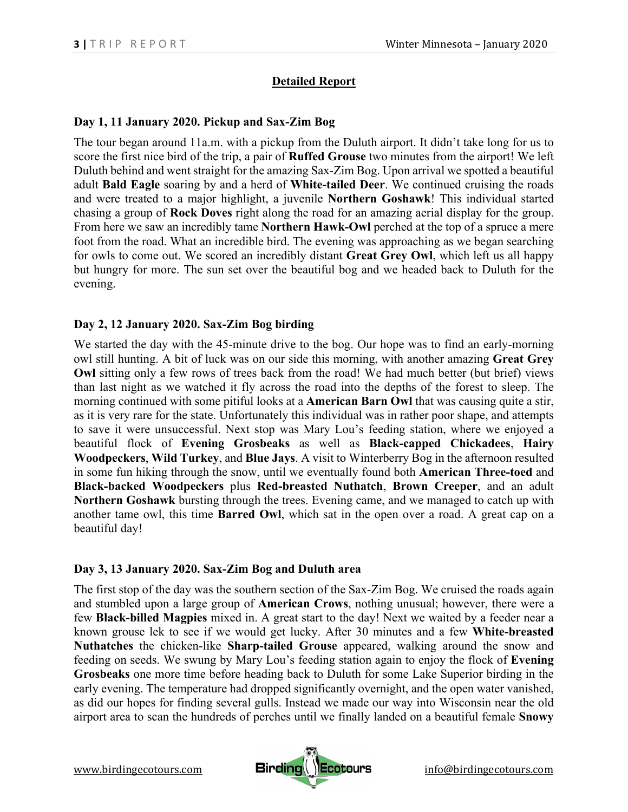## **Detailed Report**

#### **Day 1, 11 January 2020. Pickup and Sax-Zim Bog**

The tour began around 11a.m. with a pickup from the Duluth airport. It didn't take long for us to score the first nice bird of the trip, a pair of **Ruffed Grouse** two minutes from the airport! We left Duluth behind and went straight for the amazing Sax-Zim Bog. Upon arrival we spotted a beautiful adult **Bald Eagle** soaring by and a herd of **White-tailed Deer**. We continued cruising the roads and were treated to a major highlight, a juvenile **Northern Goshawk**! This individual started chasing a group of **Rock Doves** right along the road for an amazing aerial display for the group. From here we saw an incredibly tame **Northern Hawk-Owl** perched at the top of a spruce a mere foot from the road. What an incredible bird. The evening was approaching as we began searching for owls to come out. We scored an incredibly distant **Great Grey Owl**, which left us all happy but hungry for more. The sun set over the beautiful bog and we headed back to Duluth for the evening.

### **Day 2, 12 January 2020. Sax-Zim Bog birding**

We started the day with the 45-minute drive to the bog. Our hope was to find an early-morning owl still hunting. A bit of luck was on our side this morning, with another amazing **Great Grey Owl** sitting only a few rows of trees back from the road! We had much better (but brief) views than last night as we watched it fly across the road into the depths of the forest to sleep. The morning continued with some pitiful looks at a **American Barn Owl** that was causing quite a stir, as it is very rare for the state. Unfortunately this individual was in rather poor shape, and attempts to save it were unsuccessful. Next stop was Mary Lou's feeding station, where we enjoyed a beautiful flock of **Evening Grosbeaks** as well as **Black-capped Chickadees**, **Hairy Woodpeckers**, **Wild Turkey**, and **Blue Jays**. A visit to Winterberry Bog in the afternoon resulted in some fun hiking through the snow, until we eventually found both **American Three-toed** and **Black-backed Woodpeckers** plus **Red-breasted Nuthatch**, **Brown Creeper**, and an adult **Northern Goshawk** bursting through the trees. Evening came, and we managed to catch up with another tame owl, this time **Barred Owl**, which sat in the open over a road. A great cap on a beautiful day!

#### **Day 3, 13 January 2020. Sax-Zim Bog and Duluth area**

The first stop of the day was the southern section of the Sax-Zim Bog. We cruised the roads again and stumbled upon a large group of **American Crows**, nothing unusual; however, there were a few **Black-billed Magpies** mixed in. A great start to the day! Next we waited by a feeder near a known grouse lek to see if we would get lucky. After 30 minutes and a few **White-breasted Nuthatches** the chicken-like **Sharp-tailed Grouse** appeared, walking around the snow and feeding on seeds. We swung by Mary Lou's feeding station again to enjoy the flock of **Evening Grosbeaks** one more time before heading back to Duluth for some Lake Superior birding in the early evening. The temperature had dropped significantly overnight, and the open water vanished, as did our hopes for finding several gulls. Instead we made our way into Wisconsin near the old airport area to scan the hundreds of perches until we finally landed on a beautiful female **Snowy** 

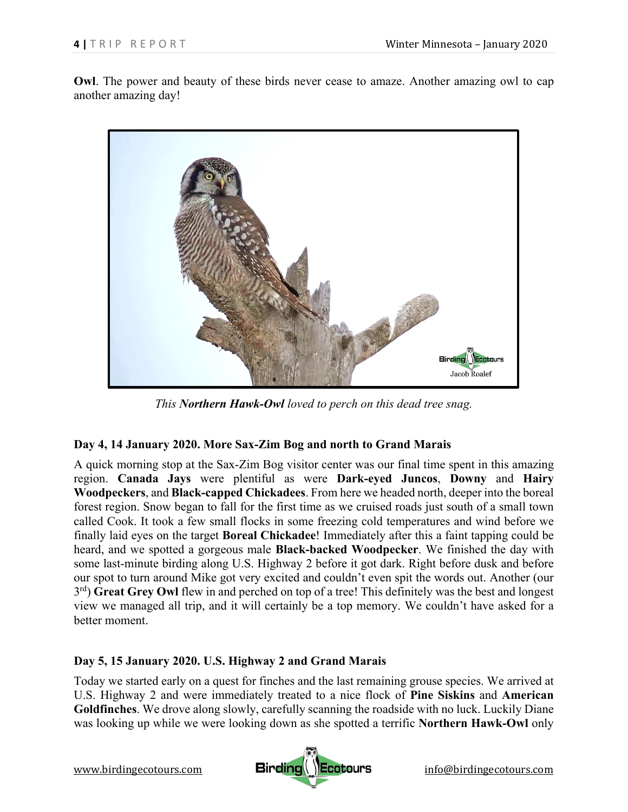**Owl**. The power and beauty of these birds never cease to amaze. Another amazing owl to cap another amazing day!



*This Northern Hawk-Owl loved to perch on this dead tree snag.* 

#### **Day 4, 14 January 2020. More Sax-Zim Bog and north to Grand Marais**

A quick morning stop at the Sax-Zim Bog visitor center was our final time spent in this amazing region. **Canada Jays** were plentiful as were **Dark-eyed Juncos**, **Downy** and **Hairy Woodpeckers**, and **Black-capped Chickadees**. From here we headed north, deeper into the boreal forest region. Snow began to fall for the first time as we cruised roads just south of a small town called Cook. It took a few small flocks in some freezing cold temperatures and wind before we finally laid eyes on the target **Boreal Chickadee**! Immediately after this a faint tapping could be heard, and we spotted a gorgeous male **Black-backed Woodpecker**. We finished the day with some last-minute birding along U.S. Highway 2 before it got dark. Right before dusk and before our spot to turn around Mike got very excited and couldn't even spit the words out. Another (our 3<sup>rd</sup>) Great Grey Owl flew in and perched on top of a tree! This definitely was the best and longest view we managed all trip, and it will certainly be a top memory. We couldn't have asked for a better moment.

#### **Day 5, 15 January 2020. U.S. Highway 2 and Grand Marais**

Today we started early on a quest for finches and the last remaining grouse species. We arrived at U.S. Highway 2 and were immediately treated to a nice flock of **Pine Siskins** and **American Goldfinches**. We drove along slowly, carefully scanning the roadside with no luck. Luckily Diane was looking up while we were looking down as she spotted a terrific **Northern Hawk-Owl** only

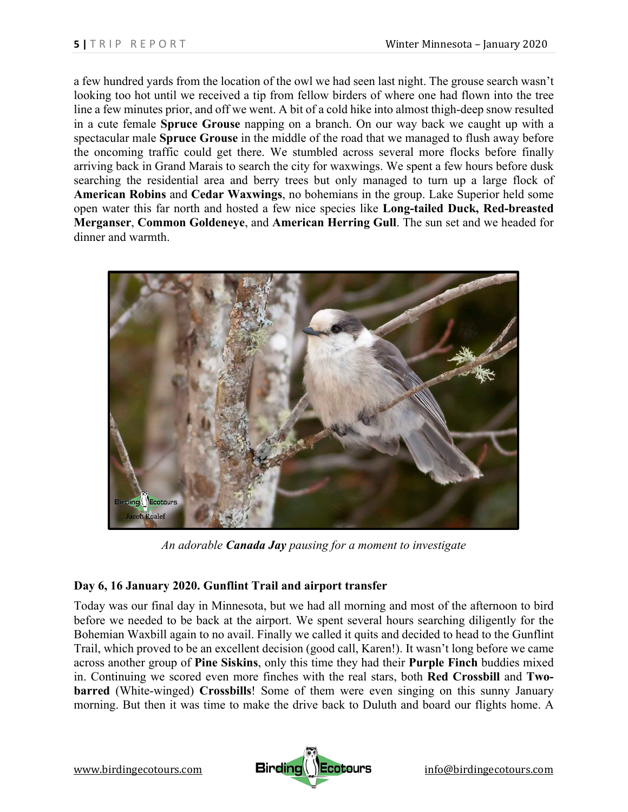a few hundred yards from the location of the owl we had seen last night. The grouse search wasn't looking too hot until we received a tip from fellow birders of where one had flown into the tree line a few minutes prior, and off we went. A bit of a cold hike into almost thigh-deep snow resulted in a cute female **Spruce Grouse** napping on a branch. On our way back we caught up with a spectacular male **Spruce Grouse** in the middle of the road that we managed to flush away before the oncoming traffic could get there. We stumbled across several more flocks before finally arriving back in Grand Marais to search the city for waxwings. We spent a few hours before dusk searching the residential area and berry trees but only managed to turn up a large flock of **American Robins** and **Cedar Waxwings**, no bohemians in the group. Lake Superior held some open water this far north and hosted a few nice species like **Long-tailed Duck, Red-breasted Merganser**, **Common Goldeneye**, and **American Herring Gull**. The sun set and we headed for dinner and warmth.



*An adorable Canada Jay pausing for a moment to investigate* 

## **Day 6, 16 January 2020. Gunflint Trail and airport transfer**

Today was our final day in Minnesota, but we had all morning and most of the afternoon to bird before we needed to be back at the airport. We spent several hours searching diligently for the Bohemian Waxbill again to no avail. Finally we called it quits and decided to head to the Gunflint Trail, which proved to be an excellent decision (good call, Karen!). It wasn't long before we came across another group of **Pine Siskins**, only this time they had their **Purple Finch** buddies mixed in. Continuing we scored even more finches with the real stars, both **Red Crossbill** and **Twobarred** (White-winged) **Crossbills**! Some of them were even singing on this sunny January morning. But then it was time to make the drive back to Duluth and board our flights home. A

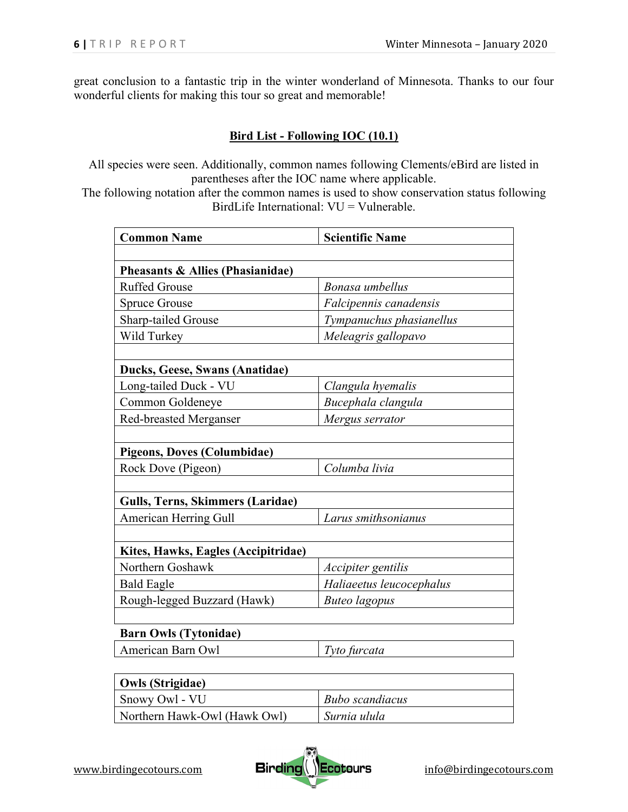great conclusion to a fantastic trip in the winter wonderland of Minnesota. Thanks to our four wonderful clients for making this tour so great and memorable!

#### **Bird List - Following IOC (10.1)**

All species were seen. Additionally, common names following Clements/eBird are listed in parentheses after the IOC name where applicable.

The following notation after the common names is used to show conservation status following BirdLife International: VU = Vulnerable.

| <b>Common Name</b>                  | <b>Scientific Name</b>   |
|-------------------------------------|--------------------------|
|                                     |                          |
| Pheasants & Allies (Phasianidae)    |                          |
| <b>Ruffed Grouse</b>                | Bonasa umbellus          |
| <b>Spruce Grouse</b>                | Falcipennis canadensis   |
| Sharp-tailed Grouse                 | Tympanuchus phasianellus |
| Wild Turkey                         | Meleagris gallopavo      |
|                                     |                          |
| Ducks, Geese, Swans (Anatidae)      |                          |
| Long-tailed Duck - VU               | Clangula hyemalis        |
| Common Goldeneye                    | Bucephala clangula       |
| <b>Red-breasted Merganser</b>       | Mergus serrator          |
|                                     |                          |
| <b>Pigeons, Doves (Columbidae)</b>  |                          |
| Rock Dove (Pigeon)                  | Columba livia            |
|                                     |                          |
| Gulls, Terns, Skimmers (Laridae)    |                          |
| American Herring Gull               | Larus smithsonianus      |
|                                     |                          |
| Kites, Hawks, Eagles (Accipitridae) |                          |
| Northern Goshawk                    | Accipiter gentilis       |
| <b>Bald Eagle</b>                   | Haliaeetus leucocephalus |
| Rough-legged Buzzard (Hawk)         | <b>Buteo</b> lagopus     |
|                                     |                          |
| <b>Barn Owls (Tytonidae)</b>        |                          |
| American Barn Owl                   | Tyto furcata             |
|                                     |                          |
| <b>Owls (Strigidae)</b>             |                          |
| Snowy Owl - VU                      | <b>Bubo</b> scandiacus   |



Northern Hawk-Owl (Hawk Owl) *Surnia ulula*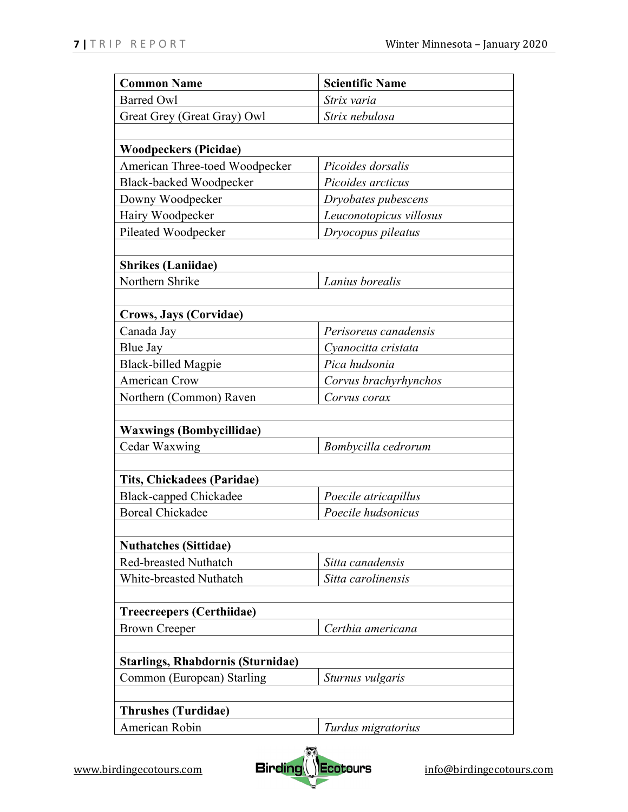| <b>Common Name</b>                           | <b>Scientific Name</b>  |
|----------------------------------------------|-------------------------|
| <b>Barred Owl</b>                            | Strix varia             |
| Great Grey (Great Gray) Owl                  | Strix nebulosa          |
|                                              |                         |
| <b>Woodpeckers (Picidae)</b>                 |                         |
| American Three-toed Woodpecker               | Picoides dorsalis       |
| <b>Black-backed Woodpecker</b>               | Picoides arcticus       |
| Downy Woodpecker                             | Dryobates pubescens     |
| Hairy Woodpecker                             | Leuconotopicus villosus |
| Pileated Woodpecker                          | Dryocopus pileatus      |
|                                              |                         |
| <b>Shrikes</b> (Laniidae)                    |                         |
| Northern Shrike                              | Lanius borealis         |
|                                              |                         |
| Crows, Jays (Corvidae)                       |                         |
| Canada Jay                                   | Perisoreus canadensis   |
| Blue Jay                                     | Cyanocitta cristata     |
| <b>Black-billed Magpie</b>                   | Pica hudsonia           |
| American Crow                                | Corvus brachyrhynchos   |
| Northern (Common) Raven                      | Corvus corax            |
|                                              |                         |
| <b>Waxwings (Bombycillidae)</b>              |                         |
| Cedar Waxwing                                | Bombycilla cedrorum     |
|                                              |                         |
| <b>Tits, Chickadees (Paridae)</b>            |                         |
| <b>Black-capped Chickadee</b>                | Poecile atricapillus    |
| <b>Boreal Chickadee</b>                      | Poecile hudsonicus      |
|                                              |                         |
| <b>Nuthatches (Sittidae)</b>                 |                         |
| <b>Red-breasted Nuthatch</b>                 | Sitta canadensis        |
| White-breasted Nuthatch                      | Sitta carolinensis      |
|                                              |                         |
| <b>Treecreepers (Certhiidae)</b>             |                         |
| <b>Brown Creeper</b>                         | Certhia americana       |
|                                              |                         |
| <b>Starlings, Rhabdornis (Sturnidae)</b>     |                         |
| Common (European) Starling                   | Sturnus vulgaris        |
|                                              |                         |
| <b>Thrushes (Turdidae)</b><br>American Robin |                         |
|                                              | Turdus migratorius      |